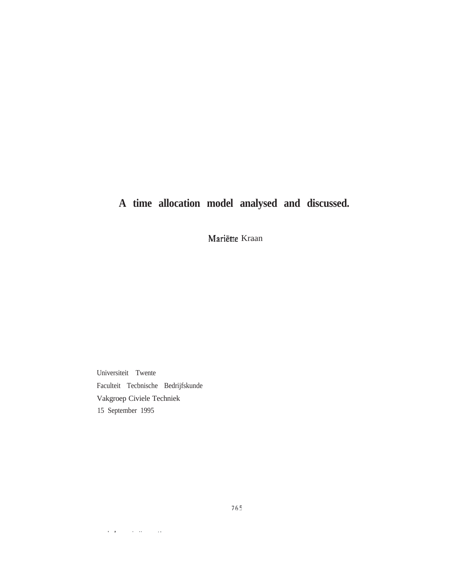# **A time allocation model analysed and discussed.**

Mariëtte Kraan

Universiteit Twente Faculteit Tecbnische Bedrijfskunde Vakgroep Civiele Techniek 15 September 1995

 $\alpha$  ,  $\alpha$  ,  $\beta$  ,  $\beta$  ,  $\alpha$  ,  $\beta$  ,  $\alpha$  ,  $\beta$ 

765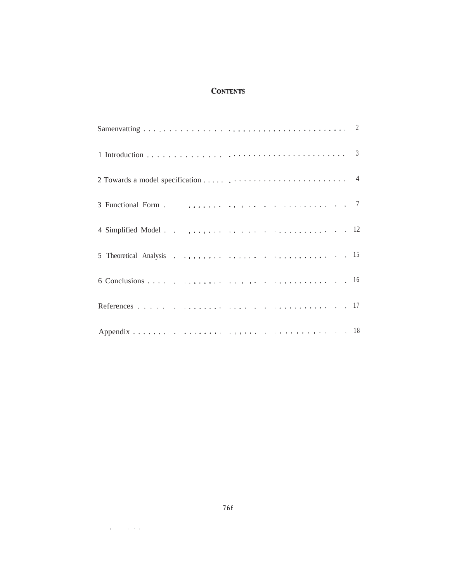# **CONTENTS**

| 3 Functional Form . $\ldots$ . $\ldots$ . $\ldots$ . $\ldots$ . $\ldots$ . $\ldots$ . $\ldots$ 7 |  |
|--------------------------------------------------------------------------------------------------|--|
|                                                                                                  |  |
|                                                                                                  |  |
|                                                                                                  |  |
|                                                                                                  |  |
|                                                                                                  |  |

 $\mathcal{L}(\mathbf{x})$  , and  $\mathcal{L}(\mathbf{x})$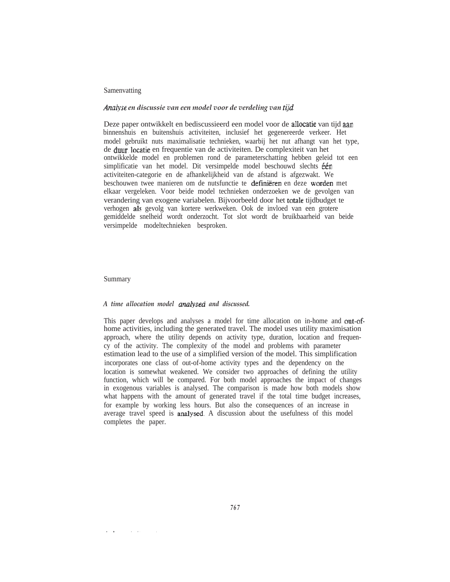# **Samenvatting**

#### Analyse en discussie van een model voor de verdeling van tijd.

Deze paper ontwikkelt en bediscussieerd een model voor de allocatie van tijd aan binnenshuis en buitenshuis activiteiten, inclusief het gegenereerde verkeer. Het model gebruikt nuts maximalisatie technieken, waarbij het nut afhangt van het type, de duur locatie en frequentie van de activiteiten. De complexiteit van het ontwikkelde model en problemen rond de parameterschatting hebben geleid tot een simplificatie van het model. Dit versimpelde model beschouwd slechts één activiteiten-categorie en de afhankelijkheid van de afstand is afgezwakt. We beschouwen twee manieren om de nutsfunctie te definiëren en deze worden met elkaar vergeleken. Voor beide model technieken onderzoeken we de gevolgen van verandering van exogene variabelen. Bijvoorbeeld door het totale tijdbudget te verhogen als gevolg van kortere werkweken. Ook de invloed van een grotere gemiddelde snelheid wordt onderzocht. Tot slot wordt de bruikbaarheid van beide versimpelde modeltechnieken besproken.

## Summary

 $\cdot$   $\cdot$ 

 $\mathcal{A}=\mathcal{A}$  .

# *A time allocation model and discussed.*

This paper develops and analyses a model for time allocation on in-home and out-ofhome activities, including the generated travel. The model uses utility maximisation approach, where the utility depends on activity type, duration, location and frequency of the activity. The complexity of the model and problems with parameter estimation lead to the use of a simplified version of the model. This simplification incorporates one class of out-of-home activity types and the dependency on the location is somewhat weakened. We consider two approaches of defining the utility function, which will be compared. For both model approaches the impact of changes in exogenous variables is analysed. The comparison is made how both models show what happens with the amount of generated travel if the total time budget increases, for example by working less hours. But also the consequences of an increase in average travel speed is analysed. A discussion about the usefulness of this model completes the paper.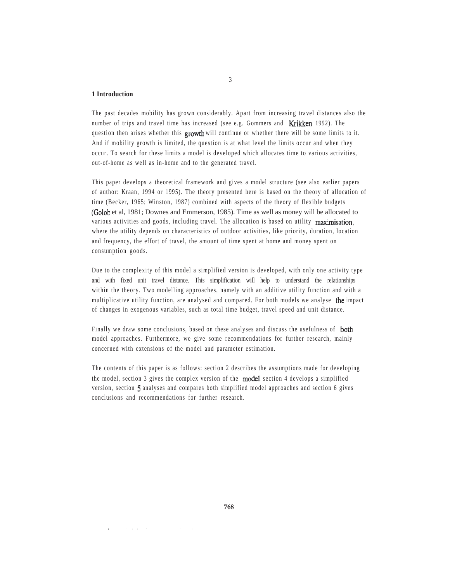# **1 Introduction**

 $\ddot{\phantom{a}}$ 

and a state

The past decades mobility has grown considerably. Apart from increasing travel distances also the number of trips and travel time has increased (see e.g. Gommers and Krikken, 1992). The question then arises whether this growth will continue or whether there will be some limits to it. And if mobility growth is limited, the question is at what level the limits occur and when they occur. To search for these limits a model is developed which allocates time to various activities, out-of-home as well as in-home and to the generated travel.

This paper develops a theoretical framework and gives a model structure (see also earlier papers of author: Kraan, 1994 or 1995). The theory presented here is based on the theory of allocation of time (Becker, 1965; Winston, 1987) combined with aspects of the theory of flexible budgets (Golob et al, 1981; Downes and Emmerson, 1985). Time as well as money will be allocated to various activities and goods, including travel. The allocation is based on utility maximisation, where the utility depends on characteristics of outdoor activities, like priority, duration, location and frequency, the effort of travel, the amount of time spent at home and money spent on consumption goods.

Due to the complexity of this model a simplified version is developed, with only one activity type and with fixed unit travel distance. This simplification will help to understand the relationships within the theory. Two modelling approaches, namely with an additive utility function and with a multiplicative utility function, are analysed and compared. For both models we analyse the impact of changes in exogenous variables, such as total time budget, travel speed and unit distance.

Finally we draw some conclusions, based on these analyses and discuss the usefulness of both model approaches. Furthermore, we give some recommendations for further research, mainly concerned with extensions of the model and parameter estimation.

The contents of this paper is as follows: section 2 describes the assumptions made for developing the model, section 3 gives the complex version of the model, section 4 develops a simplified version, section 5 analyses and compares both simplified model approaches and section 6 gives conclusions and recommendations for further research.

 $\sim$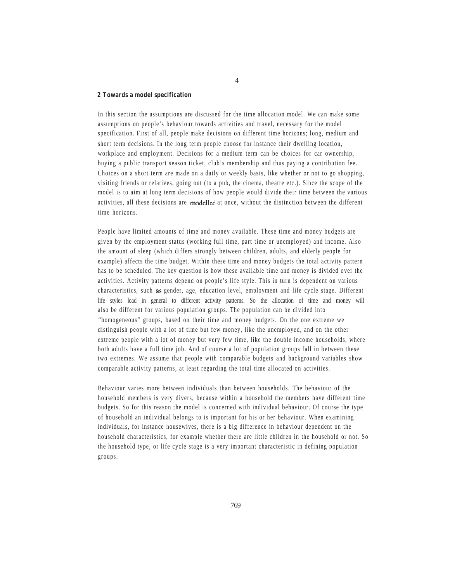#### **2 Towards a model specification**

In this section the assumptions are discussed for the time allocation model. We can make some assumptions on people's behaviour towards activities and travel, necessary for the model specification. First of all, people make decisions on different time horizons; long, medium and short term decisions. In the long term people choose for instance their dwelling location, workplace and employment. Decisions for a medium term can be choices for car ownership, buying a public transport season ticket, club's membership and thus paying a contribution fee. Choices on a short term are made on a daily or weekly basis, like whether or not to go shopping, visiting friends or relatives, going out (to a pub, the cinema, theatre etc.). Since the scope of the model is to aim at long term decisions of how people would divide their time between the various activities, all these decisions are modelled at once, without the distinction between the different time horizons.

People have limited amounts of time and money available. These time and money budgets are given by the employment status (working full time, part time or unemployed) and income. Also the amount of sleep (which differs strongly between children, adults, and elderly people for example) affects the time budget. Within these time and money budgets the total activity pattern has to be scheduled. The key question is how these available time and money is divided over the activities. Activity patterns depend on people's life style. This in turn is dependent on various characteristics, such as gender, age, education level, employment and life cycle stage. Different life styles lead in general to different activity patterns. So the allocation of time and money will also be different for various population groups. The population can be divided into "homogeneous" groups, based on their time and money budgets. On the one extreme we distinguish people with a lot of time but few money, like the unemployed, and on the other extreme people with a lot of money but very few time, like the double income households, where both adults have a full time job. And of course a lot of population groups fall in between these two extremes. We assume that people with comparable budgets and background variables show comparable activity patterns, at least regarding the total time allocated on activities.

Behaviour varies more between individuals than between households. The behaviour of the household members is very divers, because within a household the members have different time budgets. So for this reason the model is concerned with individual behaviour. Of course the type of household an individual belongs to is important for his or her behaviour. When examining individuals, for instance housewives, there is a big difference in behaviour dependent on the household characteristics, for example whether there are little children in the household or not. So the household type, or life cycle stage is a very important characteristic in defining population groups.

4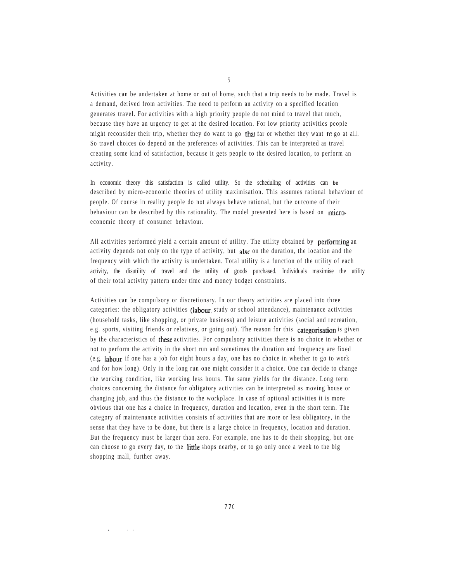Activities can be undertaken at home or out of home, such that a trip needs to be made. Travel is a demand, derived from activities. The need to perform an activity on a specified location generates travel. For activities with a high priority people do not mind to travel that much, because they have an urgency to get at the desired location. For low priority activities people might reconsider their trip, whether they do want to go that far or whether they want to go at all. So travel choices do depend on the preferences of activities. This can be interpreted as travel creating some kind of satisfaction, because it gets people to the desired location, to perform an activity.

In economic theory this satisfaction is called utility. So the scheduling of activities can **be** described by micro-economic theories of utility maximisation. This assumes rational behaviour of people. Of course in reality people do not always behave rational, but the outcome of their behaviour can be described by this rationality. The model presented here is based on microeconomic theory of consumer behaviour.

All activities performed yield a certain amount of utility. The utility obtained by **performing** an activity depends not only on the type of activity, but also on the duration, the location and the frequency with which the activity is undertaken. Total utility is a function of the utility of each activity, the disutility of travel and the utility of goods purchased. Individuals maximise the utility of their total activity pattern under time and money budget constraints.

Activities can be compulsory or discretionary. In our theory activities are placed into three categories: the obligatory activities (labour, study or school attendance), maintenance activities (household tasks, like shopping, or private business) and leisure activities (social and recreation, e.g. sports, visiting friends or relatives, or going out). The reason for this categorisation is given by the characteristics of these activities. For compulsory activities there is no choice in whether or not to perform the activity in the short run and sometimes the duration and frequency are fixed (e.g. labour; if one has a job for eight hours a day, one has no choice in whether to go to work and for how long). Only in the long run one might consider it a choice. One can decide to change the working condition, like working less hours. The same yields for the distance. Long term choices concerning the distance for obligatory activities can be interpreted as moving house or changing job, and thus the distance to the workplace. In case of optional activities it is more obvious that one has a choice in frequency, duration and location, even in the short term. The category of maintenance activities consists of activities that are more or less obligatory, in the sense that they have to be done, but there is a large choice in frequency, location and duration. But the frequency must be larger than zero. For example, one has to do their shopping, but one can choose to go every day, to the little shops nearby, or to go only once a week to the big shopping mall, further away.

5

 $\sim$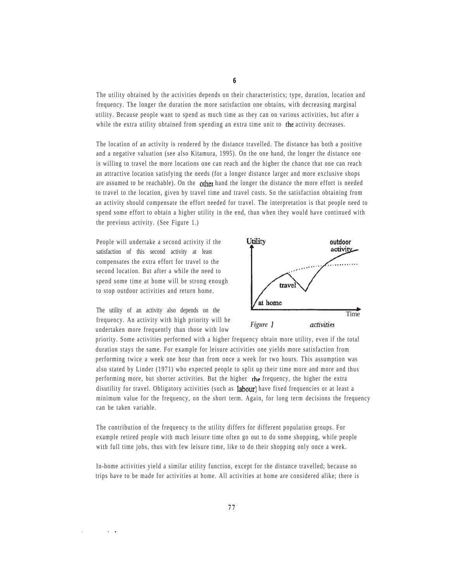The utility obtained by the activities depends on their characteristics; type, duration, location and frequency. The longer the duration the more satisfaction one obtains, with decreasing marginal utility. Because people want to spend as much time as they can on various activities, but after a while the extra utility obtained from spending an extra time unit to the activity decreases.

The location of an activity is rendered by the distance travelled. The distance has both a positive and a negative valuation (see also Kitamura, 1995). On the one hand, the longer the distance one is willing to travel the more locations one can reach and the higher the chance that one can reach an attractive location satisfying the needs (for a longer distance larger and more exclusive shops are assumed to be reachable). On the  $other$  hand the longer the distance the more effort is needed to travel to the location, given by travel time and travel costs. So the satisfaction obtaining from an activity should compensate the effort needed for travel. The interpretation is that people need to spend some effort to obtain a higher utility in the end, than when they would have continued with the previous activity. (See Figure 1.)

People will undertake a second activity if the satisfaction of this second activity at least compensates the extra effort for travel to the second location. But after a while the need to spend some time at home will be strong enough to stop outdoor activities and return home.

The utility of an activity also depends on the Time frequency. An activity with high priority will be undertaken more frequently than those with low *Figure*



priority. Some activities performed with a higher frequency obtain more utility, even if the total duration stays the same. For example for leisure activities one yields more satisfaction from performing twice a week one hour than from once a week for two hours. This assumption was also stated by Linder (1971) who expected people to split up their time more and more and thus performing more, but shorter activities. But the higher the frequency, the higher the extra disutility for travel. Obligatory activities (such as labour) have fixed frequencies or at least a minimum value for the frequency, on the short term. Again, for long term decisions the frequency can be taken variable.

The contribution of the frequency to the utility differs for different population groups. For example retired people with much leisure time often go out to do some shopping, while people with full time jobs, thus with few leisure time, like to do their shopping only once a week.

In-home activities yield a similar utility function, except for the distance travelled; because no trips have to be made for activities at home. All activities at home are considered alike; there is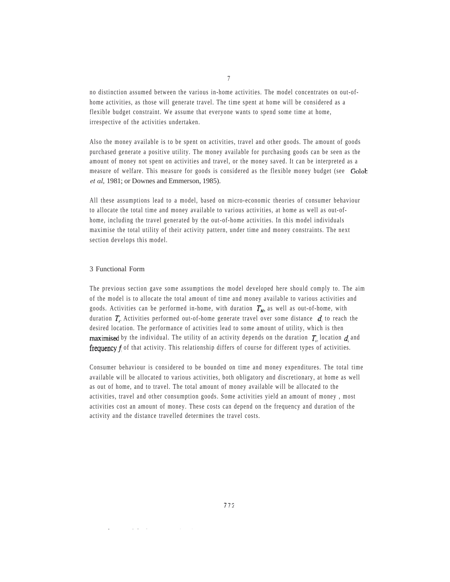no distinction assumed between the various in-home activities. The model concentrates on out-ofhome activities, as those will generate travel. The time spent at home will be considered as a flexible budget constraint. We assume that everyone wants to spend some time at home, irrespective of the activities undertaken.

Also the money available is to be spent on activities, travel and other goods. The amount of goods purchased generate a positive utility. The money available for purchasing goods can be seen as the amount of money not spent on activities and travel, or the money saved. It can be interpreted as a measure of welfare. This measure for goods is considered as the flexible money budget (see Golob *et al,* 1981; or Downes and Emmerson, 1985).

All these assumptions lead to a model, based on micro-economic theories of consumer behaviour to allocate the total time and money available to various activities, at home as well as out-ofhome, including the travel generated by the out-of-home activities. In this model individuals maximise the total utility of their activity pattern, under time and money constraints. The next section develops this model.

# 3 Functional Form

**Contractor** 

The previous section gave some assumptions the model developed here should comply to. The aim of the model is to allocate the total amount of time and money available to various activities and goods. Activities can be performed in-home, with duration  $T_H$ , as well as out-of-home, with duration  $T_i$ . Activities performed out-of-home generate travel over some distance  $d_i$  to reach the desired location. The performance of activities lead to some amount of utility, which is then **maximised** by the individual. The utility of an activity depends on the duration  $T_i$ , location  $d_i$  and frequency  $f_i$  of that activity. This relationship differs of course for different types of activities.

Consumer behaviour is considered to be bounded on time and money expenditures. The total time available will be allocated to various activities, both obligatory and discretionary, at home as well as out of home, and to travel. The total amount of money available will be allocated to the activities, travel and other consumption goods. Some activities yield an amount of money , most activities cost an amount of money. These costs can depend on the frequency and duration of the activity and the distance travelled determines the travel costs.

7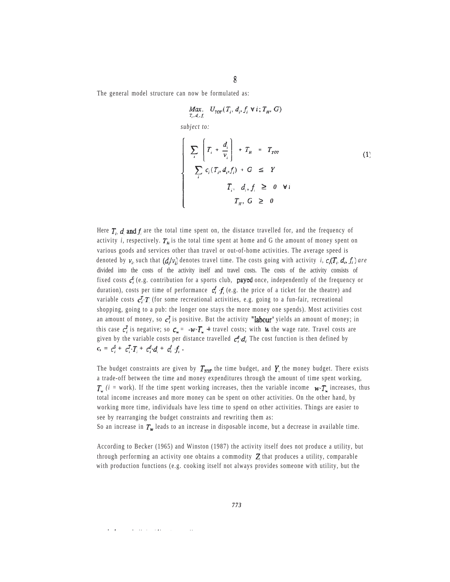The general model structure can now be formulated as:

$$
\begin{aligned}\n\text{Max.} \quad & U_{\text{ror}}(T_i, \, d_i, f_i \, \forall \, i; \, T_H, \, G) \\
\text{subject to:} \\
& \sum_{i} \left[ T_i + \frac{d_i}{v_i} \right] + T_H = T_{\text{ror}} \\
& \sum_{i} c_i (T_i, d_i, f_i) + G \leq Y \\
& T_i, \, d_i, f_i \geq 0 \quad \forall \, i \\
& T_H, \, G \geq 0\n\end{aligned} \tag{1}
$$

Here  $T_i$ , d and  $f_i$  are the total time spent on, the distance travelled for, and the frequency of activity *i*, respectively.  $T<sub>H</sub>$  is the total time spent at home and G the amount of money spent on various goods and services other than travel or out-of-home activities. The average speed is denoted by  $v_i$ , such that  $(d/v_i)$  denotes travel time. The costs going with activity *i, c<sub>i</sub>*( $T_i$ ,  $d_i$ ,  $f_i$ ) are divided into the costs of the activity itself and travel costs. The costs of the activity consists of fixed costs  $c_i^0$  (e.g. contribution for a sports club, **payed** once, independently of the frequency or duration), costs per time of performance  $c_i^f$   $f_i$  (e.g. the price of a ticket for the theatre) and variable costs  $c_i^T T_i$  (for some recreational activities, e.g. going to a fun-fair, recreational shopping, going to a pub: the longer one stays the more money one spends). Most activities cost an amount of money, so  $c_i^{\mathcal{T}}$  is positive. But the activity "labour" yields an amount of money; in this case  $c_i^{\mathcal{T}}$  is negative; so  $c_w = -w \cdot T_w$  + travel costs; with w the wage rate. Travel costs are given by the variable costs per distance travelled  $c_i^d d_i$ . The cost function is then defined by  $c_j = c_i^0 + c_i^T \cdot T_i + c_i^d \cdot d_i + c_i^d \cdot f_i$ .

The budget constraints are given by  $T_{\text{TOT}}$ , the time budget, and Y, the money budget. There exists a trade-off between the time and money expenditures through the amount of time spent working,  $T_w$  (*i* = work). If the time spent working increases, then the variable income  $w \cdot T_w$  increases, thus total income increases and more money can be spent on other activities. On the other hand, by working more time, individuals have less time to spend on other activities. Things are easier to see by rearranging the budget constraints and rewriting them as:

So an increase in  $T_w$  leads to an increase in disposable income, but a decrease in available time.

According to Becker (1965) and Winston (1987) the activity itself does not produce a utility, but through performing an activity one obtains a commodity  $Z_i$  that produces a utility, comparable with production functions (e.g. cooking itself not always provides someone with utility, but the

contract and contract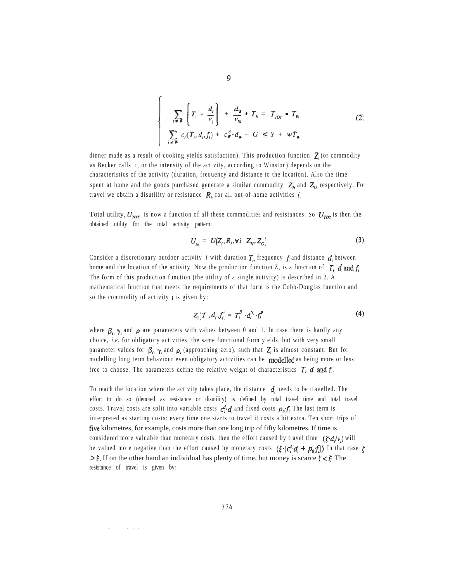$$
\sum_{i \in W} \left[ T_i + \frac{d_i}{v_i} \right] + \frac{d_w}{v_w} + T_H = T_{TOT} - T_w
$$
\n
$$
\sum_{i \in W} c_i (T_i, d_i, f_i) + c_w^d \cdot d_w + G \le Y + wT_w
$$
\n(2)

dinner made as a result of cooking yields satisfaction). This production function  $Z_i$  (or commodity as Becker calls it, or the intensity of the activity, according to Winston) depends on the characteristics of the activity (duration, frequency and distance to the location). Also the time spent at home and the goods purchased generate a similar commodity  $Z_{\mu}$  and  $Z_{G}$ , respectively. For travel we obtain a disutility or resistance  $R_{i}$ , for all out-of-home activities i.

Total utility,  $U_{\text{TOT}}$ , is now a function of all these commodities and resistances. So  $U_{\text{TOT}}$  is then the obtained utility for the total activity pattern:

$$
U_{\nu\alpha} = U(Z_i, R_i, \forall i; Z_{\mu}, Z_{\sigma}) \tag{3}
$$

Consider a discretionary outdoor activity *i* with duration  $T_i$ , frequency f and distance  $d_i$  between home and the location of the activity. Now the production function Z, is a function of  $T_i$ ,  $d_i$  and  $f_i$ . The form of this production function (the utility of a single activity) is described in 2. A mathematical function that meets the requirements of that form is the Cobb-Douglas function and so the commodity of activity  $\boldsymbol{i}$  is given by:

$$
Z_i(T_i, d_i, f_i) = T_i^{\beta_i} \cdot d_i^{\gamma_i} \cdot f_i^{\alpha_i} \tag{4}
$$

where  $\beta_i$ ,  $\gamma_i$  and  $\rho_i$  are parameters with values between 0 and 1. In case there is hardly any choice, *i.e.* for obligatory activities, the same functional form yields, but with very small parameter values for  $\beta_i$ ,  $\gamma_i$  and  $\rho_i$  (approaching zero), such that  $Z_i$  is almost constant. But for modelling long term behaviour even obligatory activities can be modelled as being more or less free to choose. The parameters define the relative weight of characteristics  $T_i$ ,  $d_i$  and  $f_i$ .

To reach the location where the activity takes place, the distance  $\boldsymbol{d}_i$  needs to be travelled. The effort to do so (denoted as resistance or disutility) is defined by total travel time and total travel costs. Travel costs are split into variable costs  $c_i^d \cdot d_i$ , and fixed costs  $p_o f_i$ . The last term is interpreted as starting costs: every time one starts to travel it costs a bit extra. Ten short trips of five kilometres, for example, costs more than one long trip of fifty kilometres. If time is considered more valuable than monetary costs, then the effort caused by travel time  $(\zeta \cdot d/v_i)$  will be valued more negative than the effort caused by monetary costs  $(\xi \cdot (c_i^d, d_i + p_o f_i))$ . In that case  $\zeta$  $\geq \xi$ . If on the other hand an individual has plenty of time, but money is scarce  $\zeta \leq \xi$ . The resistance of travel is given by:

 $\ddot{\phantom{0}}$ 

the contract of the contract of the contract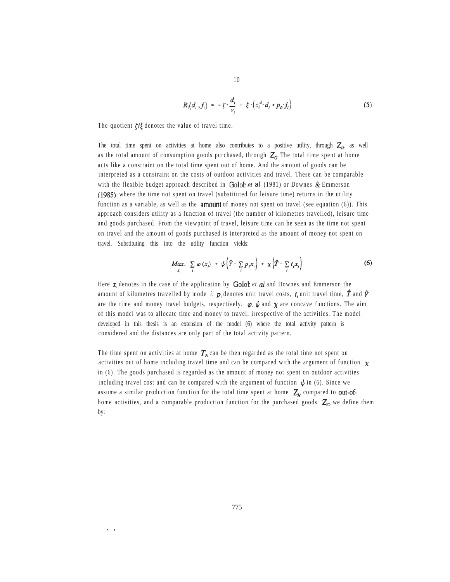$$
R_i(d_i, f_i) = -\zeta \cdot \frac{d_i}{v_i} - \xi \cdot \left(c_i^d \cdot d_i + p_o \cdot f_i\right) \tag{5}
$$

The quotient  $\frac{1}{2}$  denotes the value of travel time.

The total time spent on activities at home also contributes to a positive utility, through  $Z_H$ , as well as the total amount of consumption goods purchased, through  $Z_G$ . The total time spent at home acts like a constraint on the total time spent out of home. And the amount of goods can be interpreted as a constraint on the costs of outdoor activities and travel. These can be comparable with the flexible budget approach described in  $Golob$  et al (1981) or Downes & Emmerson (1985), where the time not spent on travel (substituted for leisure time) returns in the utility function as a variable, as well as the **amount** of money not spent on travel (see equation  $(6)$ ). This approach considers utility as a function of travel (the number of kilometres travelled), leisure time and goods purchased. From the viewpoint of travel, leisure time can be seen as the time not spent on travel and the amount of goods purchased is interpreted as the amount of money not spent on travel. Substituting this into the utility function yields:

$$
\underset{x_i}{\text{Max.}} \sum_i \varphi(x_i) + \psi \left( \hat{Y} - \sum_i p_i x_i \right) + \chi \left( \hat{T} - \sum_i t_i x_i \right) \tag{6}
$$

Here  $\boldsymbol{\chi}$  denotes in the case of the application by **Golob** *et* al and Downes and Emmerson the amount of kilometres travelled by mode *i.*  $p_i$  denotes unit travel costs,  $t_i$  unit travel time,  $\hat{T}$  and  $\hat{Y}$ are the time and money travel budgets, respectively.  $\varphi, \psi$  and  $\chi$  are concave functions. The aim of this model was to allocate time and money to travel; irrespective of the activities. The model developed in this thesis is an extension of the model (6) where the total activity pattern is considered and the distances are only part of the total activity pattern.

The time spent on activities at home  $T<sub>H</sub>$  can be then regarded as the total time not spent on activities out of home including travel time and can be compared with the argument of function  $\chi$ in (6). The goods purchased is regarded as the amount of money not spent on outdoor activities including travel cost and can be compared with the argument of function  $\psi$  in (6). Since we assume a similar production function for the total time spent at home  $Z_{\mu}$  compared to out-ofhome activities, and a comparable production function for the purchased goods  $\mathbb{Z}_G$ , we define them by: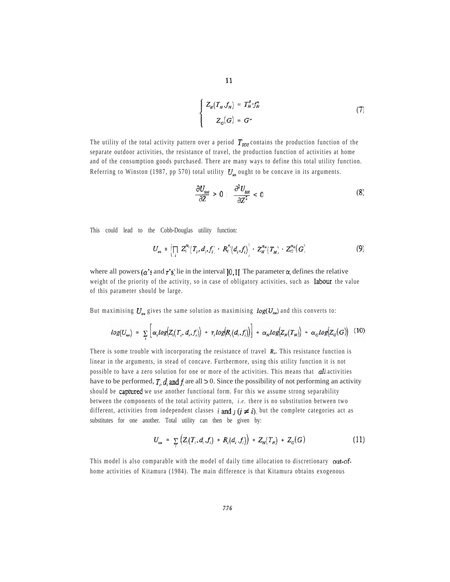$$
\begin{cases}\nZ_H(T_H, f_H) = T_H^{\delta} f_H^{\sigma}\n\end{cases}
$$
\n(7)\n
$$
Z_G(G) = G^{\omega}
$$

The utility of the total activity pattern over a period  $T_{\text{rot}}$  contains the production function of the separate outdoor activities, the resistance of travel, the production function of activities at home and of the consumption goods purchased. There are many ways to define this total utility function. Referring to Winston (1987, pp 570) total utility  $U_{\mu}$  ought to be concave in its arguments.

$$
\frac{\partial U_{tot}}{\partial Z} > 0 \; ; \; \frac{\partial^2 U_{tot}}{\partial Z^2} < 0 \tag{8}
$$

This could lead to the Cobb-Douglas utility function:

$$
U_{\omega} = \left(\prod_i Z_i^{\alpha_i}(T_i, d_i, f_i) - R_i^{\tau_i}(d_i, f_i)\right) - Z_H^{\alpha_s}(T_H) - Z_G^{\alpha_c}(G) \tag{9}
$$

where all powers  $(\alpha' s$  and  $\tau' s$  lie in the interval [0,1]. The parameter  $\alpha_i$  defines the relative weight of the priority of the activity, so in case of obligatory activities, such as labour, the value of this parameter should be large.

But maximising  $U_{\text{tot}}$  gives the same solution as maximising  $log(U_{\text{tot}})$  and this converts to:

$$
log(U_{\omega}) = \sum_{i} \left[ \alpha_{i} log(Z_{i}(T_{i}, d_{i}, f_{i})) + \tau_{i} log(R_{i}(d_{i}, f_{i})) \right] + \alpha_{H} log(Z_{H}(T_{H})) + \alpha_{G} log(Z_{G}(G)) \quad (10)
$$

There is some trouble with incorporating the resistance of travel *R,.* This resistance function is linear in the arguments, in stead of concave. Furthermore, using this utility function it is not possible to have a zero solution for one or more of the activities. This means that *all* activities have to be performed,  $T_i$ ,  $d_i$  and  $f_i$  are all  $> 0$ . Since the possibility of not performing an activity should be captured we use another functional form. For this we assume strong separability between the components of the total activity pattern, *i.e.* there is no substitution between two different, activities from independent classes **i** and *i* ( $i \neq i$ ), but the complete categories act as substitutes for one another. Total utility can then be given by:

$$
U_{\text{tot}} = \sum_{i} \left( Z_{i}(T_{i}, d_{i}, f_{i}) + R_{i}(d_{i}, f_{i}) \right) + Z_{H}(T_{H}) + Z_{G}(G) \tag{11}
$$

This model is also comparable with the model of daily time allocation to discretionary out-ofhome activities of Kitamura (1984). The main difference is that Kitamura obtains exogenous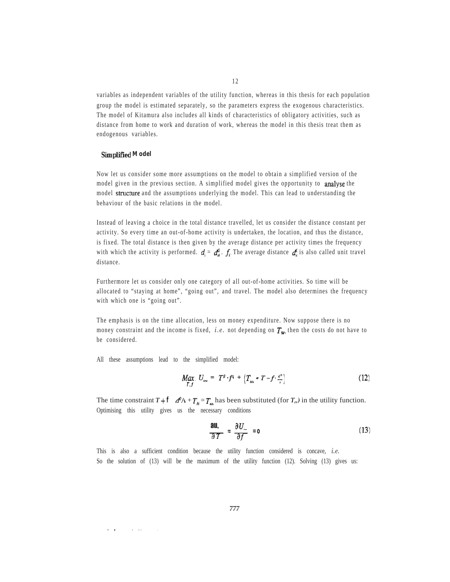variables as independent variables of the utility function, whereas in this thesis for each population group the model is estimated separately, so the parameters express the exogenous characteristics. The model of Kitamura also includes all kinds of characteristics of obligatory activities, such as distance from home to work and duration of work, whereas the model in this thesis treat them as endogenous variables.

#### **Simplified** Model

Now let us consider some more assumptions on the model to obtain a simplified version of the model given in the previous section. A simplified model gives the opportunity to analyse the model structure and the assumptions underlying the model. This can lead to understanding the behaviour of the basic relations in the model.

Instead of leaving a choice in the total distance travelled, let us consider the distance constant per activity. So every time an out-of-home activity is undertaken, the location, and thus the distance, is fixed. The total distance is then given by the average distance per activity times the frequency with which the activity is performed.  $d_i = d_i^0$ .  $f_i$ . The average distance  $d_i^0$  is also called unit travel distance.

Furthermore let us consider only one category of all out-of-home activities. So time will be allocated to "staying at home", "going out", and travel. The model also determines the frequency with which one is "going out".

The emphasis is on the time allocation, less on money expenditure. Now suppose there is no money constraint and the income is fixed, *i.e.* not depending on  $T_{w_1}$ , then the costs do not have to be considered.

All these assumptions lead to the simplified model:

and a strain of the state of the

$$
\underset{T,f}{Max.} \ U_{\text{tot}} = T^{\beta} \cdot f^{\mathfrak{q}} + \left( T_{\text{tot}} \cdot T - f \cdot \frac{d^{\circ}}{r} \right) \tag{12}
$$

The time constraint  $T + \mathbf{f} \, d^2 v + T_{\mu} = T_{\mu\nu}$  has been substituted (for  $T_{\mu\nu}$ ) in the utility function. Optimising this utility gives us the necessary conditions

$$
\frac{\partial U}{\partial T} = \frac{\partial U_{\infty}}{\partial f} = 0 \tag{13}
$$

This is also a sufficient condition because the utility function considered is concave, *i.e.* So the solution of (13) will be the maximum of the utility function (12). Solving (13) gives us: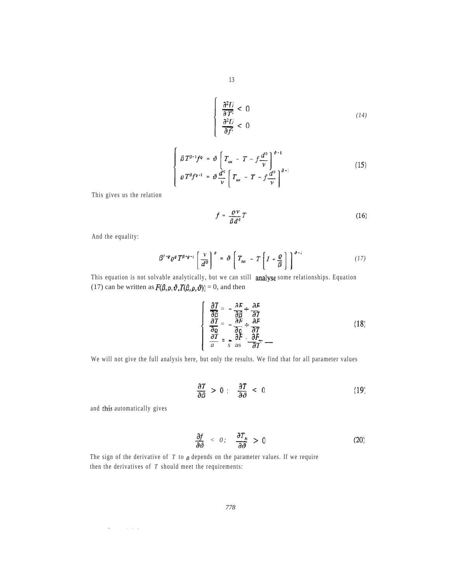$$
\frac{\partial^2 U}{\partial T^2} < 0
$$
\n
$$
\frac{\partial^2 U}{\partial f^2} < 0
$$
\n(14)

$$
\begin{cases}\n\beta T^{\beta-1} f^{\varrho} = \vartheta \left[ T_{\omega t} - T - f \frac{d^0}{\nu} \right]^{\vartheta-1} \\
\varrho T^{\beta} f^{\varrho-1} = \vartheta \frac{d^0}{\nu} \left[ T_{\omega t} - T - f \frac{d^0}{\nu} \right]^{\vartheta-1}\n\end{cases}
$$
\n(15)

This gives us the relation

$$
f = \frac{\rho \nu}{\beta d^{\theta}} T \tag{16}
$$

And the equality:

$$
\beta^{j-q} \varrho^{\varrho} T^{\beta+\varrho-j} \left[ \frac{v}{d^{\varrho}} \right]^{\varrho} = \vartheta \left[ T_{\text{tot}} - T \left[ I + \frac{\varrho}{\beta} \right] \right]^{\vartheta-j} \tag{17}
$$

This equation is not solvable analytically, but we can still analyse some relationships. Equation (17) can be written as  $F(\beta, \rho, \vartheta, T(\beta, \rho, \vartheta)) = 0$ , and then

$$
\begin{cases}\n\frac{\partial T}{\partial \beta} = -\frac{\partial F}{\partial \beta} + \frac{\partial F}{\partial T} \\
\frac{\partial T}{\partial \rho} = -\frac{\partial F}{\partial \rho} \div \frac{\partial F}{\partial T} \\
\frac{\partial T}{\partial x} = -\frac{\partial F}{\partial x} \cdot \frac{\partial F}{\partial T} -\n\end{cases}
$$
\n(18)

We will not give the full analysis here, but only the results. We find that for all parameter values

$$
\frac{\partial T}{\partial \beta} > 0 \; ; \quad \frac{\partial T}{\partial \vartheta} < 0 \tag{19}
$$

and this automatically gives

 $\epsilon$ 

 $\sim 10^{11}$  and  $\sim 10^{11}$ 

$$
\frac{\partial f}{\partial \vartheta} < 0; \quad \frac{\partial T_H}{\partial \vartheta} > 0 \tag{20}
$$

The sign of the derivative of  $T$  to  $\rho$  depends on the parameter values. If we require then the derivatives of *T* should meet the requirements: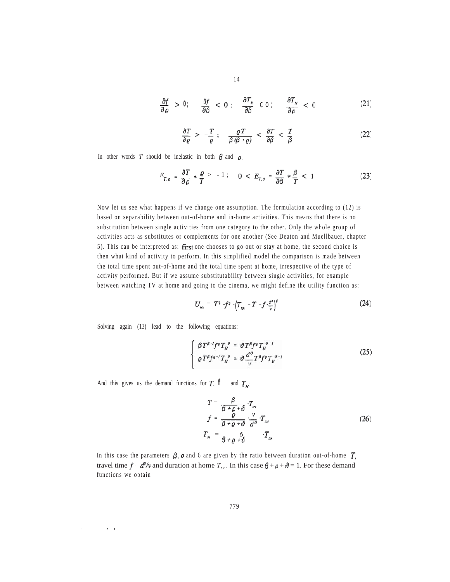$$
\frac{\partial f}{\partial \varrho} > 0; \quad \frac{\partial f}{\partial \beta} < 0; \quad \frac{\partial T_H}{\partial \beta} \text{ co}; \quad \frac{\partial T_H}{\partial \varrho} < 0 \tag{21}
$$

$$
\frac{\partial T}{\partial \varrho} > -\frac{T}{\varrho} ; \quad \frac{\varrho T}{\beta (\beta + \varrho)} < \frac{\partial T}{\partial \beta} < \frac{T}{\beta}
$$
 (22)

In other words *T* should be inelastic in both  $\beta$  and  $\rho$ .

$$
E_{T,\varrho} = \frac{\partial T}{\partial \varrho} * \frac{\varrho}{T} > -1; \quad 0 < E_{T,\varrho} = \frac{\partial T}{\partial \beta} * \frac{\beta}{T} < 1 \tag{23}
$$

Now let us see what happens if we change one assumption. The formulation according to (12) is based on separability between out-of-home and in-home activities. This means that there is no substitution between single activities from one category to the other. Only the whole group of activities acts as substitutes or complements for one another (See Deaton and Muellbauer, chapter 5). This can be interpreted as: first one chooses to go out or stay at home, the second choice is then what kind of activity to perform. In this simplified model the comparison is made between the total time spent out-of-home and the total time spent at home, irrespective of the type of activity performed. But if we assume substitutability between single activities, for example between watching TV at home and going to the cinema, we might define the utility function as:

$$
U_{\text{tot}} = T^{\beta} \cdot f^{\rho} \cdot \left(T_{\text{tot}} - T - f \cdot \frac{d^{\rho}}{v}\right)^{\rho} \tag{24}
$$

Solving again (13) lead to the following equations:

$$
\begin{cases}\n\beta T^{\beta - l} f^{\rho} T_{H}^{\ \delta} = \vartheta T^{\beta} f^{\rho} T_{H}^{\ \delta - l} \\
\varrho T^{\beta} f^{\varrho - l} T_{H}^{\ \delta} = \vartheta \frac{d^{\rho}}{\nu} T^{\beta} f^{\rho} T_{H}^{\ \delta - l}\n\end{cases}
$$
\n(25)

And this gives us the demand functions for  $T$ ,  $\mathbf{f}$  and  $T$ <sub>*H*</sub>:

 $\mathbf{q}$  and  $\mathbf{q}$ 

 $\sim$   $\sim$ 

$$
T = \frac{\beta}{\beta + \varrho + \vartheta} \cdot T_{\omega}
$$
  
\n
$$
f = \frac{\varrho}{\beta + \varrho + \vartheta} \cdot \frac{v}{d^{\varrho}} \cdot T_{\omega}
$$
  
\n
$$
T_{\mu} = \frac{\beta}{\beta + \varrho + \vartheta} \cdot \frac{T_{\omega}}{d^{\varrho}}
$$
 (26)

In this case the parameters  $\beta$ ,  $\rho$  and 6 are given by the ratio between duration out-of-home  $T$ . travel time  $f \cdot d^2/v$  and duration at home *T<sub>1</sub>*. In this case  $\beta + \rho + \vartheta = 1$ . For these demand functions we obtain

14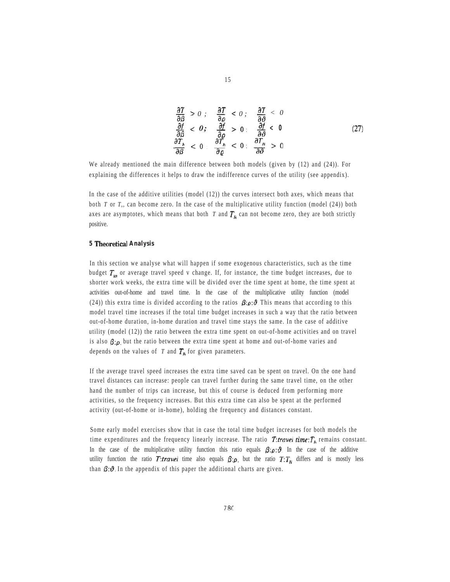$$
\frac{\partial T}{\partial \beta} > 0; \quad \frac{\partial T}{\partial \varrho} < 0; \quad \frac{\partial T}{\partial \vartheta} < 0\n\frac{\partial f}{\partial \beta} < 0; \quad \frac{\partial f}{\partial \varrho} > 0; \quad \frac{\partial f}{\partial \vartheta} < 0\n\frac{\partial T_n}{\partial \beta} < 0; \quad \frac{\partial T_n}{\partial \varrho} < 0; \quad \frac{\partial T_n}{\partial \vartheta} > 0
$$
\n(27)

We already mentioned the main difference between both models (given by (12) and (24)). For explaining the differences it helps to draw the indifference curves of the utility (see appendix).

In the case of the additive utilities (model (12)) the curves intersect both axes, which means that both *T* or *T,,* can become zero. In the case of the multiplicative utility function (model (24)) both axes are asymptotes, which means that both  $T$  and  $T<sub>H</sub>$  can not become zero, they are both strictly positive.

## **5 Theoretical Analysis**

In this section we analyse what will happen if some exogenous characteristics, such as the time budget  $T_{\text{tot}}$  or average travel speed v change. If, for instance, the time budget increases, due to shorter work weeks, the extra time will be divided over the time spent at home, the time spent at activities out-of-home and travel time. In the case of the multiplicative utility function (model (24)) this extra time is divided according to the ratios  $\beta:\rho:\mathcal{O}$ . This means that according to this model travel time increases if the total time budget increases in such a way that the ratio between out-of-home duration, in-home duration and travel time stays the same. In the case of additive utility (model (12)) the ratio between the extra time spent on out-of-home activities and on travel is also  $\beta:\rho$ , but the ratio between the extra time spent at home and out-of-home varies and depends on the values of  $T$  and  $T_H$  for given parameters.

If the average travel speed increases the extra time saved can be spent on travel. On the one hand travel distances can increase: people can travel further during the same travel time, on the other hand the number of trips can increase, but this of course is deduced from performing more activities, so the frequency increases. But this extra time can also be spent at the performed activity (out-of-home or in-home), holding the frequency and distances constant.

Some early model exercises show that in case the total time budget increases for both models the time expenditures and the frequency linearly increase. The ratio  $T:$  travel time:  $T_H$  remains constant. In the case of the multiplicative utility function this ratio equals  $\beta:\rho:\mathcal{O}$ . In the case of the additive utility function the ratio T:travel time also equals  $\beta:\rho$ , but the ratio  $T:T_H$  differs and is mostly less than  $\beta$ :  $\vartheta$ . In the appendix of this paper the additional charts are given.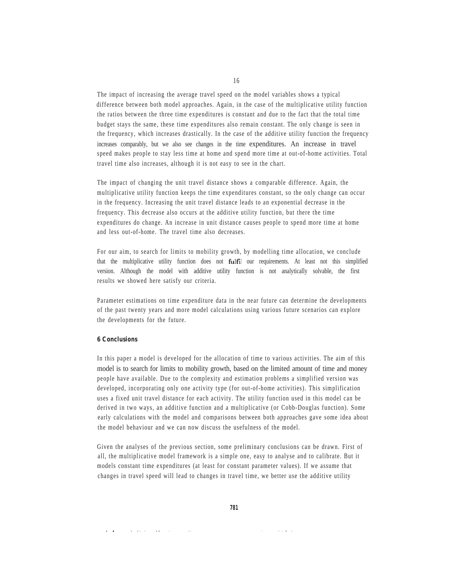The impact of increasing the average travel speed on the model variables shows a typical difference between both model approaches. Again, in the case of the multiplicative utility function the ratios between the three time expenditures is constant and due to the fact that the total time budget stays the same, these time expenditures also remain constant. The only change is seen in the frequency, which increases drastically. In the case of the additive utility function the frequency increases comparably, but we also see changes in the time expenditures. An increase in travel speed makes people to stay less time at home and spend more time at out-of-home activities. Total travel time also increases, although it is not easy to see in the chart.

The impact of changing the unit travel distance shows a comparable difference. Again, the multiplicative utility function keeps the time expenditures constant, so the only change can occur in the frequency. Increasing the unit travel distance leads to an exponential decrease in the frequency. This decrease also occurs at the additive utility function, but there the time expenditures do change. An increase in unit distance causes people to spend more time at home and less out-of-home. The travel time also decreases.

For our aim, to search for limits to mobility growth, by modelling time allocation, we conclude that the multiplicative utility function does not **fulfil** our requirements. At least not this simplified version. Although the model with additive utility function is not analytically solvable, the first results we showed here satisfy our criteria.

Parameter estimations on time expenditure data in the near future can determine the developments of the past twenty years and more model calculations using various future scenarios can explore the developments for the future.

#### **6 Conclusions**

and the second company of the

In this paper a model is developed for the allocation of time to various activities. The aim of this model is to search for limits to mobility growth, based on the limited amount of time and money people have available. Due to the complexity and estimation problems a simplified version was developed, incorporating only one activity type (for out-of-home activities). This simplification uses a fixed unit travel distance for each activity. The utility function used in this model can be derived in two ways, an additive function and a multiplicative (or Cobb-Douglas function). Some early calculations with the model and comparisons between both approaches gave some idea about the model behaviour and we can now discuss the usefulness of the model.

Given the analyses of the previous section, some preliminary conclusions can be drawn. First of all, the multiplicative model framework is a simple one, easy to analyse and to calibrate. But it models constant time expenditures (at least for constant parameter values). If we assume that changes in travel speed will lead to changes in travel time, we better use the additive utility

16

 $\sim$   $\sim$   $\sim$   $\sim$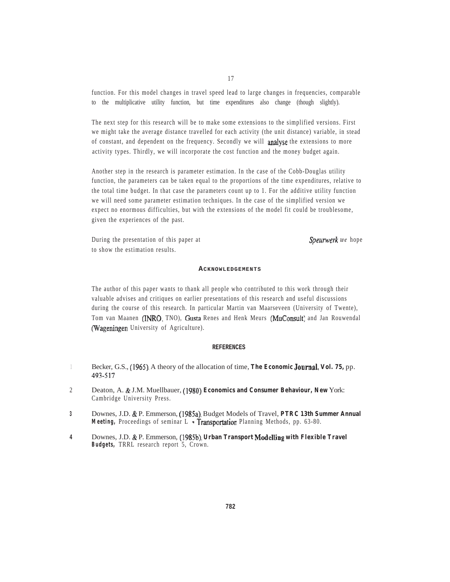function. For this model changes in travel speed lead to large changes in frequencies, comparable to the multiplicative utility function, but time expenditures also change (though slightly).

The next step for this research will be to make some extensions to the simplified versions. First we might take the average distance travelled for each activity (the unit distance) variable, in stead of constant, and dependent on the frequency. Secondly we will analyse the extensions to more activity types. Thirdly, we will incorporate the cost function and the money budget again.

Another step in the research is parameter estimation. In the case of the Cobb-Douglas utility function, the parameters can be taken equal to the proportions of the time expenditures, relative to the total time budget. In that case the parameters count up to 1. For the additive utility function we will need some parameter estimation techniques. In the case of the simplified version we expect no enormous difficulties, but with the extensions of the model fit could be troublesome, given the experiences of the past.

During the presentation of this paper at **Special Spearwerk** we hope to show the estimation results.

#### **ACKNOWLEDGEMENTS**

The author of this paper wants to thank all people who contributed to this work through their valuable advises and critiques on earlier presentations of this research and useful discussions during the course of this research. In particular Martin van Maarseveen (University of Twente), Tom van Maanen (INRO, TNO), Gusta Renes and Henk Meurs (MuConsult) and Jan Rouwendal (Wageningen University of Agriculture).

#### **REFERENCES**

- 1 Becker, G.S., (1965), A theory of the allocation of time, The Economic **Journal**, Vol. 75, pp. 493-517.
- 2 Deaton, A. & J.M. Muellbauer, (1980), Economics and Consumer Behaviour, New York: Cambridge University Press.
- **3** Downes, J.D. & P. Emmerson, (1985a), Budget Models of Travel, PTRC 13th Summer Annual Meeting, Proceedings of seminar L - Transportation Planning Methods, pp. 63-80.
- 4 Downes, J.D. & P. Emmerson, (1985b), Urban Transport **Modelling** with Flexible Travel **Budgets,** TRRL research report 5, Crown.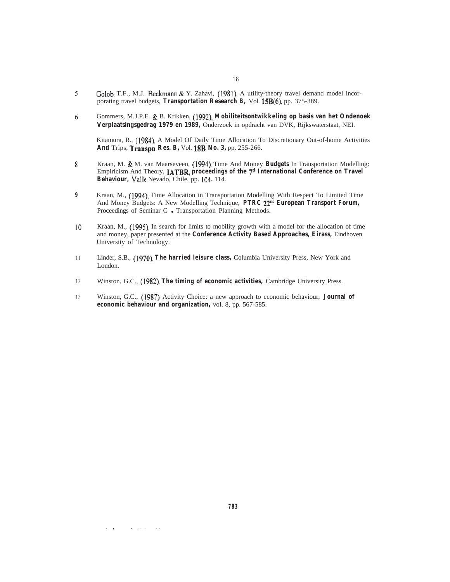- 5 Golob, T.F., M.J. Beckmann & Y. Zahavi, (1981), A utility-theory travel demand model incorporating travel budgets, Transportation Research B, Vol. 15B(6), pp. 375-389.
- Gommers, M.J.P.F. & B. Krikken, (1992), Mobiliteitsontwikkeling op basis van het Ondenoek 6 **Verplaatsingsgedrag 1979 en 1989,** Onderzoek in opdracht van DVK, Rijkswaterstaat, NEI.

Kitamura, R., (1984), A Model Of Daily Time Allocation To Discretionary Out-of-home Activities And Trips, Transpn. Res. B, Vol. 18B, No. 3, pp. 255-266.

- Kraan, M. & M. van Maarseveen, (1994), Time And Money Budgets In Transportation Modelling: 8 Empiricism And Theory, **IATBR**, proceedings of the 7<sup>th</sup> International Conference on Travel Behaviour, Valle Nevado, Chile, pp. 104-114.
- **9** Kraan, M., (1994), Time Allocation in Transportation Modelling With Respect To Limited Time And Money Budgets: A New Modelling Technique, PTRC 22<sup>nd</sup> European Transport Forum, Proceedings of Seminar G - Transportation Planning Methods.
- 10 Kraan, M., (1995), In search for limits to mobility growth with a model for the allocation of time and money, paper presented at the **Conference Activity Based Approaches, Eirass,** Eindhoven University of Technology.
- 1 1 Linder, S.B., **The harried leisure class,** Columbia University Press, New York and London.
- 1 2 Winston, G.C., (1982), The timing of economic activities, Cambridge University Press.
- 1 3 Winston, G.C., (1987), Activity Choice: a new approach to economic behaviour, **Journal of economic behaviour and organization,** vol. 8, pp. 567-585.

 $\cdot$   $\cdot$ 

 $\mathbf{r} = \mathbf{r} \mathbf{r} + \mathbf{r} \mathbf{r}$ 

 $\cdots$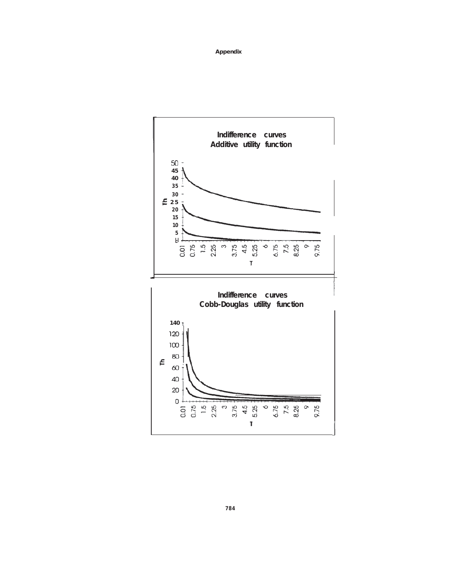**Appendix**

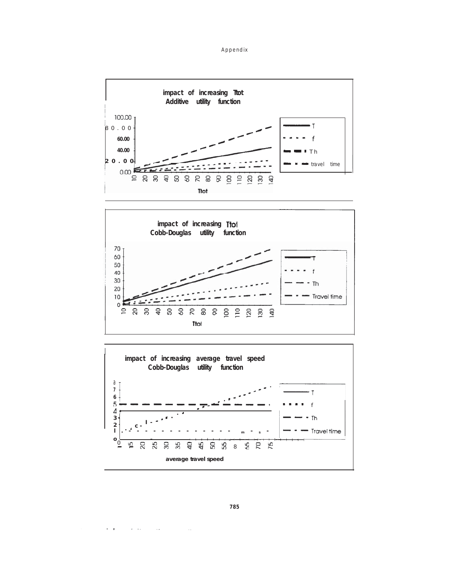Appendix







**785**

 $\mathbf{r}$ 

 $\ddotsc$